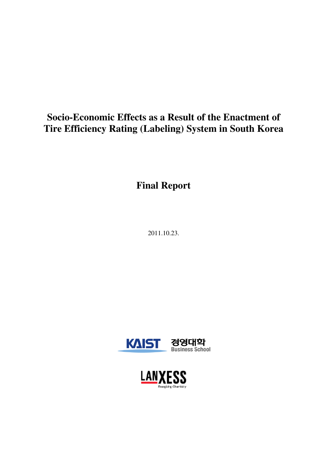# **Socio-Economic Effects as a Result of the Enactment of Tire Efficiency Rating (Labeling) System in South Korea**

**Final Report** 

2011.10.23.



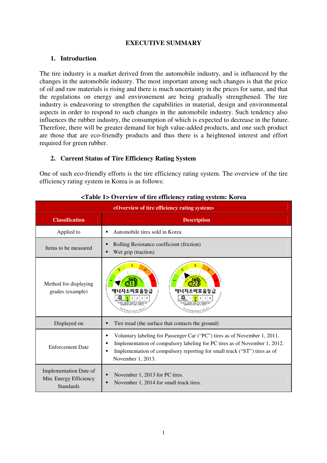#### **EXECUTIVE SUMMARY**

## **1. Introduction**

The tire industry is a market derived from the automobile industry, and is influenced by the changes in the automobile industry. The most important among such changes is that the price of oil and raw materials is rising and there is much uncertainty in the prices for same, and that the regulations on energy and environement are being gradually strengthened. The tire industry is endeavoring to strengthen the capabilities in material, design and environmental aspects in order to respond to such changes in the automobile industry. Such tendency also influences the rubber industry, the consumption of which is expected to decrease in the future. Therefore, there will be greater demand for high value-added products, and one such product are those that are eco-friendly products and thus there is a heightened interest and effort required for green rubber.

## **2. Current Status of Tire Efficiency Rating System**

One of such eco-friendly efforts is the tire efficiency rating system. The overview of the tire efficiency rating system in Korea is as follows:

| <overview efficiency="" of="" rating="" system="" tire=""></overview> |                                                                                                                                                                                                                                                                     |  |  |  |  |
|-----------------------------------------------------------------------|---------------------------------------------------------------------------------------------------------------------------------------------------------------------------------------------------------------------------------------------------------------------|--|--|--|--|
| <b>Classification</b>                                                 | <b>Description</b>                                                                                                                                                                                                                                                  |  |  |  |  |
| Applied to                                                            | Automobile tires sold in Korea<br>■                                                                                                                                                                                                                                 |  |  |  |  |
| Items to be measured                                                  | Rolling Resistance coefficient (friction)<br>Wet grip (traction)                                                                                                                                                                                                    |  |  |  |  |
| Method for displaying<br>grades (example)                             | 에너지소비효율등급<br>에너지소비효율등급<br>이는 차량상대, 운행조건 및 적재중량에 따라<br>차량상태, 운행조건 및 적재중당에<br>AISBRAILS SIGITI 958 & 956LICE<br>ALBROADS \$10121 918 & 910LICE                                                                                                                        |  |  |  |  |
| Displayed on                                                          | Tire tread (the surface that contacts the ground)<br>■                                                                                                                                                                                                              |  |  |  |  |
| <b>Enforcement Date</b>                                               | Voluntary labeling for Passenger Car ("PC") tires as of November 1, 2011.<br>■<br>Implementation of compulsory labeling for PC tires as of November 1, 2012.<br>Implementation of compulsory reporting for small truck ("ST") tires as of<br>п<br>November 1, 2013. |  |  |  |  |
| Implementation Date of<br>Min. Energy Efficiency<br><b>Standards</b>  | November 1, 2013 for PC tires.<br>November 1, 2014 for small truck tires.                                                                                                                                                                                           |  |  |  |  |

#### **<Table 1> Overview of tire efficiency rating system: Korea**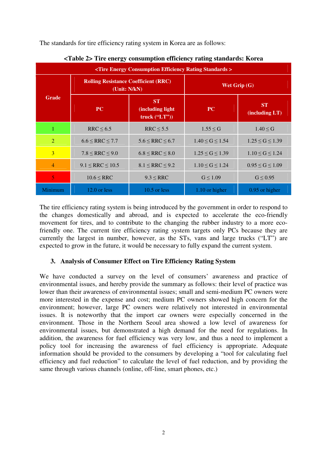The standards for tire efficiency rating system in Korea are as follows:

| <tire consumption="" efficiency="" energy="" rating="" standards=""></tire> |                                                              |                         |                       |                             |  |  |  |
|-----------------------------------------------------------------------------|--------------------------------------------------------------|-------------------------|-----------------------|-----------------------------|--|--|--|
|                                                                             | <b>Rolling Resistance Coefficient (RRC)</b><br>(Unit: N/kN)  |                         | Wet Grip (G)          |                             |  |  |  |
| <b>Grade</b>                                                                | <b>ST</b><br>$\bf PC$<br>(including light)<br>truck $("LT")$ |                         | <b>PC</b>             | <b>ST</b><br>(including LT) |  |  |  |
|                                                                             | $RRC \leq 6.5$                                               | $RRC \leq 5.5$          | $1.55 \leq G$         | $1.40 \leq G$               |  |  |  |
| 2                                                                           | $6.6 \leq RRC \leq 7.7$                                      | $5.6 \leq RRC \leq 6.7$ | $1.40 \le G \le 1.54$ | $1.25 \le G \le 1.39$       |  |  |  |
| 3                                                                           | $7.8 \leq RRC \leq 9.0$                                      | $6.8 \leq RRC \leq 8.0$ | $1.25 \le G \le 1.39$ | $1.10 \le G \le 1.24$       |  |  |  |
| $\overline{4}$                                                              | $9.1 \leq RRC \leq 10.5$                                     | $8.1 \leq RRC \leq 9.2$ | $1.10 \le G \le 1.24$ | $0.95 \le G \le 1.09$       |  |  |  |
| $\overline{5}$                                                              | $10.6 \leq RRC$                                              | $9.3 \leq RRC$          | $G \leq 1.09$         | $G \leq 0.95$               |  |  |  |
| Minimum                                                                     | $12.0$ or less                                               | $10.5$ or less          | 1.10 or higher        | 0.95 or higher              |  |  |  |

**<Table 2> Tire energy consumption efficiency rating standards: Korea** 

The tire efficiency rating system is being introduced by the government in order to respond to the changes domestically and abroad, and is expected to accelerate the eco-friendly movement for tires, and to contribute to the changing the rubber industry to a more ecofriendly one. The current tire efficiency rating system targets only PCs because they are currently the largest in number, however, as the STs, vans and large trucks ("LT") are expected to grow in the future, it would be necessary to fully expand the current system.

# **3. Analysis of Consumer Effect on Tire Efficiency Rating System**

We have conducted a survey on the level of consumers' awareness and practice of environmental issues, and hereby provide the summary as follows: their level of practice was lower than their awareness of environmental issues; small and semi-medium PC owners were more interested in the expense and cost; medium PC owners showed high concern for the environment; however, large PC owners were relatively not interested in environmental issues. It is noteworthy that the import car owners were especially concerned in the environment. Those in the Northern Seoul area showed a low level of awareness for environmental issues, but demonstrated a high demand for the need for regulations. In addition, the awareness for fuel efficiency was very low, and thus a need to implement a policy tool for increasing the awareness of fuel efficiency is appropriate. Adequate information should be provided to the consumers by developing a "tool for calculating fuel efficiency and fuel reduction" to calculate the level of fuel reduction, and by providing the same through various channels (online, off-line, smart phones, etc.)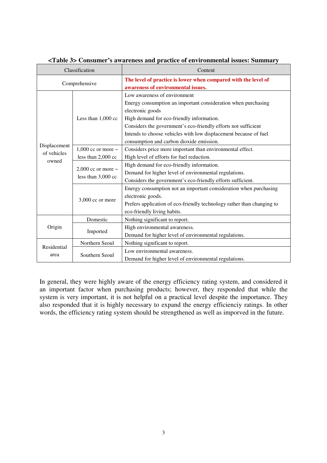| Classification              |                         | Content                                                                |  |  |  |  |
|-----------------------------|-------------------------|------------------------------------------------------------------------|--|--|--|--|
|                             | Comprehensive           | The level of practice is lower when compared with the level of         |  |  |  |  |
|                             |                         | awareness of environmental issues.                                     |  |  |  |  |
|                             |                         | Low awareness of environment                                           |  |  |  |  |
|                             |                         | Energy consumption an important consideration when purchasing          |  |  |  |  |
|                             |                         | electronic goods                                                       |  |  |  |  |
|                             | Less than 1,000 cc      | High demand for eco-friendly information.                              |  |  |  |  |
|                             |                         | Considers the government's eco-friendly efforts not sufficient         |  |  |  |  |
|                             |                         | Intends to choose vehicles with low displacement because of fuel       |  |  |  |  |
|                             |                         | consumption and carbon dioxide emission.                               |  |  |  |  |
| Displacement<br>of vehicles | 1,000 cc or more $\sim$ | Considers price more important than environmental effect.              |  |  |  |  |
|                             | less than 2,000 cc      | High level of efforts for fuel reduction.                              |  |  |  |  |
| owned                       | 2,000 cc or more $\sim$ | High demand for eco-friendly information.                              |  |  |  |  |
|                             |                         | Demand for higher level of environmental regulations.                  |  |  |  |  |
|                             | less than 3,000 cc      | Considers the government's eco-friendly efforts sufficient.            |  |  |  |  |
|                             |                         | Energy consumption not an important consideration when purchasing      |  |  |  |  |
|                             |                         | electronic goods.                                                      |  |  |  |  |
|                             | $3,000$ cc or more      | Prefers application of eco-friendly technology rather than changing to |  |  |  |  |
|                             |                         | eco-friendly living habits.                                            |  |  |  |  |
|                             | Domestic                | Nothing significant to report.                                         |  |  |  |  |
| Origin                      |                         | High environmental awareness.                                          |  |  |  |  |
|                             | Imported                | Demand for higher level of environmental regulations.                  |  |  |  |  |
| Residential                 | Northern Seoul          | Nothing significant to report.                                         |  |  |  |  |
|                             | Southern Seoul          | Low environmental awareness.                                           |  |  |  |  |
| area                        |                         | Demand for higher level of environmental regulations.                  |  |  |  |  |

#### **<Table 3> Consumer's awareness and practice of environmental issues: Summary**

In general, they were highly aware of the energy efficiency rating system, and considered it an important factor when purchasing products; however, they responded that while the system is very important, it is not helpful on a practical level despite the importance. They also responded that it is highly necessary to expand the energy efficienciy ratings. In other words, the efficiency rating system should be strengthened as well as imporved in the future.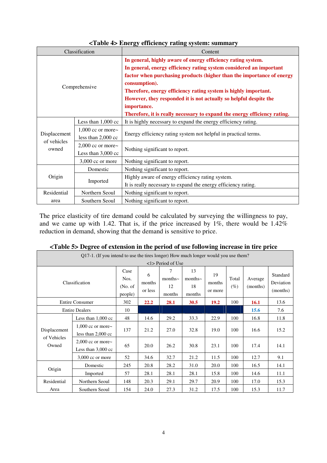|                      | Classification                                  | Content                                                                                                                                                                                                                                                                                                                                                                                                                                                           |  |  |  |
|----------------------|-------------------------------------------------|-------------------------------------------------------------------------------------------------------------------------------------------------------------------------------------------------------------------------------------------------------------------------------------------------------------------------------------------------------------------------------------------------------------------------------------------------------------------|--|--|--|
| Comprehensive        |                                                 | In general, highly aware of energy efficiency rating system.<br>In general, energy efficiency rating system considered an important<br>factor when purchasing products (higher than the importance of energy<br>consumption).<br>Therefore, energy efficiency rating system is highly important.<br>However, they responded it is not actually so helpful despite the<br>importance.<br>Therefore, it is really necessary to expand the energy efficiency rating. |  |  |  |
|                      | Less than $1,000$ cc                            | It is highly necessary to expand the energy efficiency rating.                                                                                                                                                                                                                                                                                                                                                                                                    |  |  |  |
| Displacement         | 1,000 cc or more $\sim$<br>less than $2,000$ cc | Energy efficiency rating system not helpful in practical terms.                                                                                                                                                                                                                                                                                                                                                                                                   |  |  |  |
| of vehicles<br>owned | $2,000$ cc or more~<br>Less than $3,000$ cc     | Nothing significant to report.                                                                                                                                                                                                                                                                                                                                                                                                                                    |  |  |  |
|                      | 3,000 cc or more                                | Nothing significant to report.                                                                                                                                                                                                                                                                                                                                                                                                                                    |  |  |  |
|                      | Domestic                                        | Nothing significant to report.                                                                                                                                                                                                                                                                                                                                                                                                                                    |  |  |  |
| Origin<br>Imported   |                                                 | Highly aware of energy efficiency rating system.<br>It is really necessary to expand the energy efficiency rating.                                                                                                                                                                                                                                                                                                                                                |  |  |  |
| Residential          | Northern Seoul                                  | Nothing significant to report.                                                                                                                                                                                                                                                                                                                                                                                                                                    |  |  |  |
| area                 | Southern Seoul                                  | Nothing significant to report.                                                                                                                                                                                                                                                                                                                                                                                                                                    |  |  |  |

**<Table 4> Energy efficiency rating system: summary** 

The price elasticity of tire demand could be calculated by surveying the willingness to pay, and we came up with 1.42. That is, if the price increased by  $1\%$ , there would be  $1.42\%$ reduction in demand, showing that the demand is sensitive to price.

| Q17-1. (If you intend to use the tires longer) How much longer would you use them? |                                                 |                                     |                        |                                                            |                                     |                         |              |                     |                                   |
|------------------------------------------------------------------------------------|-------------------------------------------------|-------------------------------------|------------------------|------------------------------------------------------------|-------------------------------------|-------------------------|--------------|---------------------|-----------------------------------|
|                                                                                    | Classification                                  | Case<br>Nos.<br>(No. of)<br>people) | 6<br>months<br>or less | $<$ 1> Period of Use<br>7<br>months $\sim$<br>12<br>months | 13<br>months $\sim$<br>18<br>months | 19<br>months<br>or more | Total<br>(%) | Average<br>(months) | Standard<br>Deviation<br>(months) |
| <b>Entire Consumer</b>                                                             | 302                                             | 22.2                                | 28.1                   | 30.5                                                       | 19.2                                | 100                     | 16.1         | 13.6                |                                   |
| <b>Entire Dealers</b>                                                              |                                                 | 10                                  |                        |                                                            |                                     |                         |              | 15.6                | 7.6                               |
|                                                                                    | Less than $1,000$ cc                            | 48                                  | 14.6                   | 29.2                                                       | 33.3                                | 22.9                    | 100          | 16.8                | 11.8                              |
| Displacement                                                                       | 1,000 cc or more $\sim$<br>less than $2,000$ cc | 137                                 | 21.2                   | 27.0                                                       | 32.8                                | 19.0                    | 100          | 16.6                | 15.2                              |
| of Vehicles<br>Owned                                                               | 2,000 cc or more $\sim$<br>Less than $3,000$ cc | 65                                  | 20.0                   | 26.2                                                       | 30.8                                | 23.1                    | 100          | 17.4                | 14.1                              |
|                                                                                    | 3,000 cc or more                                | 52                                  | 34.6                   | 32.7                                                       | 21.2                                | 11.5                    | 100          | 12.7                | 9.1                               |
|                                                                                    | Domestic                                        | 245                                 | 20.8                   | 28.2                                                       | 31.0                                | 20.0                    | 100          | 16.5                | 14.1                              |
| Origin                                                                             | Imported                                        | 57                                  | 28.1                   | 28.1                                                       | 28.1                                | 15.8                    | 100          | 14.6                | 11.1                              |
| Residential                                                                        | Northern Seoul                                  | 148                                 | 20.3                   | 29.1                                                       | 29.7                                | 20.9                    | 100          | 17.0                | 15.3                              |
| Area                                                                               | Southern Seoul                                  | 154                                 | 24.0                   | 27.3                                                       | 31.2                                | 17.5                    | 100          | 15.3                | 11.7                              |

**<Table 5> Degree of extension in the period of use following increase in tire price**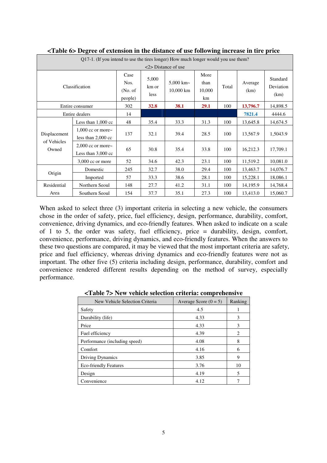| o<br>0<br>Q17-1. (If you intend to use the tires longer) How much longer would you use them? |                                                 |                                     |                        |                              |                              |          |                 |                               |
|----------------------------------------------------------------------------------------------|-------------------------------------------------|-------------------------------------|------------------------|------------------------------|------------------------------|----------|-----------------|-------------------------------|
| $\langle 2 \rangle$ Distance of use                                                          |                                                 |                                     |                        |                              |                              |          |                 |                               |
| Classification                                                                               |                                                 | Case<br>Nos.<br>(No. of)<br>people) | 5,000<br>km or<br>less | 5,000 km $\sim$<br>10,000 km | More<br>than<br>10,000<br>km | Total    | Average<br>(km) | Standard<br>Deviation<br>(km) |
| Entire consumer                                                                              | 302                                             | 32.8                                | 38.1                   | 29.1                         | 100                          | 13,796.7 | 14,898.5        |                               |
| Entire dealers                                                                               |                                                 | 14                                  |                        |                              |                              |          | 7821.4          | 4444.6                        |
| Displacement<br>of Vehicles<br>Owned                                                         | Less than $1,000$ cc                            | 48                                  | 35.4                   | 33.3                         | 31.3                         | 100      | 13,645.8        | 14,674.5                      |
|                                                                                              | 1,000 cc or more $\sim$<br>less than $2,000$ cc | 137                                 | 32.1                   | 39.4                         | 28.5                         | 100      | 13,567.9        | 1,5043.9                      |
|                                                                                              | $2,000$ cc or more~<br>Less than $3,000$ cc     | 65                                  | 30.8                   | 35.4                         | 33.8                         | 100      | 16,212.3        | 17,709.1                      |
|                                                                                              | 3,000 cc or more                                | 52                                  | 34.6                   | 42.3                         | 23.1                         | 100      | 11,519.2        | 10,081.0                      |
|                                                                                              | Domestic                                        | 245                                 | 32.7                   | 38.0                         | 29.4                         | 100      | 13,463.7        | 14,076.7                      |
| Origin                                                                                       | Imported                                        | 57                                  | 33.3                   | 38.6                         | 28.1                         | 100      | 15,228.1        | 18,086.1                      |
| Residential                                                                                  | Northern Seoul                                  | 148                                 | 27.7                   | 41.2                         | 31.1                         | 100      | 14,195.9        | 14,768.4                      |
| Area                                                                                         | Southern Seoul                                  | 154                                 | 37.7                   | 35.1                         | 27.3                         | 100      | 13,413.0        | 15,060.7                      |

**<Table 6> Degree of extension in the distance of use following increase in tire price** 

When asked to select three (3) important criteria in selecting a new vehicle, the consumers chose in the order of safety, price, fuel efficiency, design, performance, durability, comfort, convenience, driving dynamics, and eco-friendly features. When asked to indicate on a scale of 1 to 5, the order was safety, fuel efficiency, price = durability, design, comfort, convenience, performance, driving dynamics, and eco-friendly features. When the answers to these two questions are compared, it may be viewed that the most important criteria are safety, price and fuel efficiency, whereas driving dynamics and eco-friendly features were not as important. The other five (5) criteria including design, performance, durability, comfort and convenience rendered different results depending on the method of survey, especially performance.

| New Vehicle Selection Criteria | Average Score $(0 = 5)$ | Ranking                     |
|--------------------------------|-------------------------|-----------------------------|
| Safety                         | 4.5                     |                             |
| Durability (life)              | 4.33                    | 3                           |
| Price                          | 4.33                    | 3                           |
| Fuel efficiency                | 4.39                    | $\mathcal{D}_{\mathcal{L}}$ |
| Performance (including speed)  | 4.08                    | 8                           |
| Comfort                        | 4.16                    | 6                           |
| <b>Driving Dynamics</b>        | 3.85                    | 9                           |
| <b>Eco-friendly Features</b>   | 3.76                    | 10                          |
| Design                         | 4.19                    | 5                           |
| Convenience                    | 4.12                    |                             |

**<Table 7> New vehicle selection criteria: comprehensive**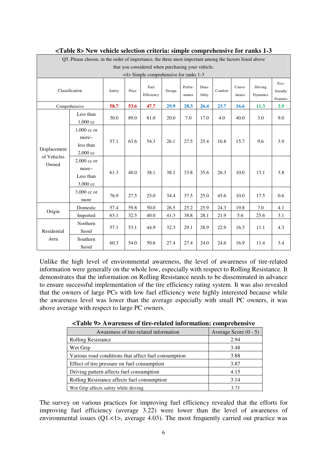| Q5. Please choose, in the order of importance, the three most important among the factors listed above |                                                             |        |       |                    |        |                  |                 |         |                  |                     |                              |
|--------------------------------------------------------------------------------------------------------|-------------------------------------------------------------|--------|-------|--------------------|--------|------------------|-----------------|---------|------------------|---------------------|------------------------------|
| that you considered when purchasing your vehicle.                                                      |                                                             |        |       |                    |        |                  |                 |         |                  |                     |                              |
|                                                                                                        | <4> Simple comprehensive for ranks 1-3                      |        |       |                    |        |                  |                 |         |                  |                     |                              |
| Classification                                                                                         |                                                             | Safety | Price | Fuel<br>Efficiency | Design | Perfor-<br>mance | Dura-<br>bility | Comfort | Conve-<br>nience | Driving<br>Dynamics | Eco-<br>friendly<br>Features |
|                                                                                                        | Comprehensive                                               | 58.7   | 53.6  | 47.7               | 29.9   | 28.3             | 26.4            | 23.7    | 16.6             | 11.3                | 3.9                          |
|                                                                                                        | Less than<br>$1,000$ cc                                     | 30.0   | 89.0  | 81.0               | 20.0   | 7.0              | 17.0            | 4.0     | 40.0             | 3.0                 | 9.0                          |
| Displacement<br>of Vehicles<br>Owned                                                                   | $1,000$ cc or<br>$more-$<br>less than<br>$2,000 \text{ cc}$ | 57.1   | 63.6  | 54.3               | 26.1   | 27.5             | 25.4            | 16.8    | 15.7             | 9.6                 | 3.9                          |
|                                                                                                        | $2,000$ cc or<br>more~<br>Less than<br>3,000 cc             | 61.3   | 40.0  | 38.1               | 38.1   | 33.8             | 35.6            | 26.3    | 10.0             | 13.1                | 3.8                          |
|                                                                                                        | 3,000 cc or<br>more                                         | 76.9   | 27.5  | 25.0               | 34.4   | 37.5             | 25.0            | 45.6    | 10.0             | 17.5                | 0.6                          |
|                                                                                                        | Domestic                                                    | 57.4   | 59.8  | 50.0               | 26.5   | 25.2             | 25.9            | 24.3    | 19.8             | 7.0                 | 4.1                          |
| Origin                                                                                                 | Imported                                                    | 63.1   | 32.5  | 40.0               | 41.3   | 38.8             | 28.1            | 21.9    | 5.6              | 25.6                | 3.1                          |
| Residential                                                                                            | Northern<br>Seoul                                           | 57.1   | 53.1  | 44.9               | 32.3   | 29.1             | 28.9            | 22.9    | 16.3             | 11.1                | 4.3                          |
| Area                                                                                                   | Southern<br>Seoul                                           | 60.3   | 54.0  | 50.6               | 27.4   | 27.4             | 24.0            | 24.6    | 16.9             | 11.4                | 3.4                          |

Unlike the high level of environmental awareness, the level of awareness of tire-related information were generally on the whole low, especially with respect to Rolling Resistance. It demonstrates that the information on Rolling Resistance needs to be disseminated in advance to ensure successful implementation of the tire efficiency rating system. It was also revealed that the owners of large PCs with low fuel efficiency were highly interested because while the awareness level was lower than the average especially with small PC owners, it was above average with respect to large PC owners.

| Awareness of tire-related information                | Average Score $(0 - 5)$ |
|------------------------------------------------------|-------------------------|
| <b>Rolling Resistance</b>                            | 2.94                    |
| Wet Grip                                             | 3.48                    |
| Various road conditions that affect fuel consumption | 3.88                    |
| Effect of tire pressure on fuel consumption          | 3.87                    |
| Driving pattern affects fuel consumption             | 4.15                    |
| Rolling Resistance affects fuel consumption          | 3.14                    |
| Wet Grip affects safety while driving                | 3.73                    |

**<Table 9> Awareness of tire-related information: comprehensive** 

The survey on various practices for improving fuel efficiency revealed that the efforts for improving fuel efficiency (average 3.22) were lower than the level of awareness of environmental issues (Q1.<1>, average 4.03). The most frequently carried out practice was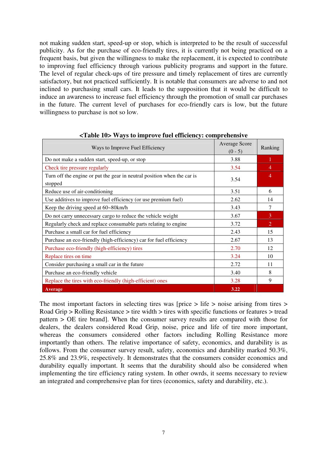not making sudden start, speed-up or stop, which is interpreted to be the result of successful publicity. As for the purchase of eco-friendly tires, it is currently not being practiced on a frequent basis, but given the willingness to make the replacement, it is expected to contribute to improving fuel efficiency through various publicity programs and support in the future. The level of regular check-ups of tire pressure and timely replacement of tires are currently satisfactory, but not practiced sufficiently. It is notable that consumers are adverse to and not inclined to purchasing small cars. It leads to the supposition that it would be difficult to induce an awareness to increase fuel efficiency through the promotion of small car purchases in the future. The current level of purchases for eco-friendly cars is low, but the future willingness to purchase is not so low.

| Ways to Improve Fuel Efficiency                                                    | Average Score<br>$(0 - 5)$ | Ranking        |
|------------------------------------------------------------------------------------|----------------------------|----------------|
| Do not make a sudden start, speed-up, or stop                                      | 3.88                       |                |
| Check tire pressure regularly                                                      | 3.54                       | 4              |
| Turn off the engine or put the gear in neutral position when the car is<br>stopped | 3.54                       | $\overline{4}$ |
| Reduce use of air-conditioning                                                     | 3.51                       | 6              |
| Use additives to improve fuel efficiency (or use premium fuel)                     | 2.62                       | 14             |
| Keep the driving speed at 60~80km/h                                                | 3.43                       | 7              |
| Do not carry unnecessary cargo to reduce the vehicle weight                        | 3.67                       | 3              |
| Regularly check and replace consumable parts relating to engine                    | 3.72                       | $\overline{2}$ |
| Purchase a small car for fuel efficiency                                           | 2.43                       | 15             |
| Purchase an eco-friendly (high-efficiency) car for fuel efficiency                 | 2.67                       | 13             |
| Purchase eco-friendly (high-efficiency) tires                                      | 2.70                       | 12             |
| Replace tires on time                                                              | 3.24                       | 10             |
| Consider purchasing a small car in the future                                      | 2.72                       | 11             |
| Purchase an eco-friendly vehicle                                                   | 3.40                       | 8              |
| Replace the tires with eco-friendly (high-efficient) ones                          | 3.28                       | 9              |
| Average                                                                            | 3.22                       |                |

**<Table 10> Ways to improve fuel efficiency: comprehensive**

The most important factors in selecting tires was [price > life > noise arising from tires > Road Grip > Rolling Resistance > tire width > tires with specific functions or features > tread pattern > OE tire brand]. When the consumer survey results are compared with those for dealers, the dealers considered Road Grip, noise, price and life of tire more important, whereas the consumers considered other factors including Rolling Resistance more importantly than others. The relative importance of safety, economics, and durability is as follows. From the consumer survey result, safety, economics and durability marked 50.3%, 25.8% and 23.9%, respectively. It demonstrates that the consumers consider economics and durability equally important. It seems that the durability should also be considered when implementing the tire efficiency rating system. In other owrds, it seems necessary to review an integrated and comprehensive plan for tires (economics, safety and durability, etc.).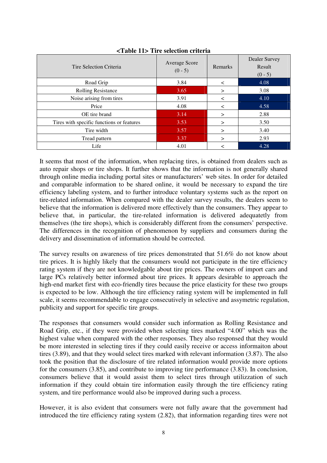| Tire Selection Criteria                   | Average Score<br>$(0 - 5)$ | Remarks | Dealer Survey<br>Result<br>$(0 - 5)$ |
|-------------------------------------------|----------------------------|---------|--------------------------------------|
| Road Grip                                 | 3.84                       | $\prec$ | 4.08                                 |
| <b>Rolling Resistance</b>                 | 3.65                       | $\geq$  | 3.08                                 |
| Noise arising from tires                  | 3.91                       | ≺       | 4.10                                 |
| Price                                     | 4.08                       | $\,<\,$ | 4.58                                 |
| OE tire brand                             | 3.14                       | $\geq$  | 2.88                                 |
| Tires with specific functions or features | 3.53                       | $\geq$  | 3.50                                 |
| Tire width                                | 3.57                       | $\geq$  | 3.40                                 |
| Tread pattern                             | 3.37                       | $\geq$  | 2.93                                 |
| Life                                      | 4.01                       |         | 4.28                                 |

**<Table 11> Tire selection criteria** 

It seems that most of the information, when replacing tires, is obtained from dealers such as auto repair shops or tire shops. It further shows that the information is not generally shared through online media including portal sites or manufacturers' web sites. In order for detailed and comparable information to be shared online, it would be necessary to expand the tire efficiency labeling system, and to further introduce voluntary systems such as the report on tire-related information. When compared with the dealer survey results, the dealers seem to believe that the information is delivered more effectively than the consumers. They appear to believe that, in particular, the tire-related information is delivered adequatetly from themselves (the tire shops), which is considerably different from the consumers' perspective. The differences in the recognition of phenomenon by suppliers and consumers during the delivery and dissemination of information should be corrected.

The survey results on awareness of tire prices demonstrated that 51.6% do not know about tire prices. It is highly likely that the consumers would not participate in the tire efficiency rating system if they are not knowledgable about tire prices. The owners of import cars and large PCs relatively better informed about tire prices. It appears desirable to approach the high-end market first with eco-friendly tires because the price elasticity for these two groups is expected to be low. Although the tire efficiency rating system will be implemented in full scale, it seems recommendable to engage consecutively in selective and assymetric regulation, publicity and support for specific tire groups.

The responses that consumers would consider such information as Rolling Resistance and Road Grip, etc., if they were provided when selecting tires marked "4.00" which was the highest value when compared with the other responses. They also responsed that they would be more interested in selecting tires if they could easily receive or access informaiton about tires (3.89), and that they would select tires marked with relevant information (3.87). The also took the position that the disclosure of tire related information would provide more options for the consumers (3.85), and contribute to improving tire performance (3.83). In conclusion, consumers believe that it would assist them to select tires through utilizzation of such information if they could obtain tire information easily through the tire efficiency rating system, and tire performance would also be improved during such a process.

However, it is also evident that consumers were not fully aware that the government had introduced the tire efficiency rating system (2.82), that information regarding tires were not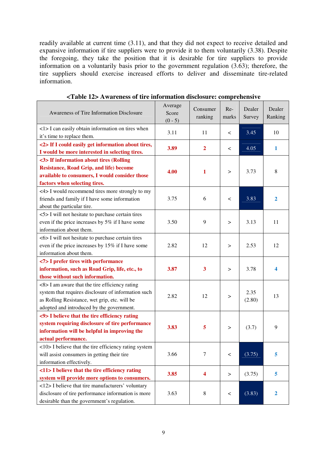readily available at current time (3.11), and that they did not expect to receive detailed and expansive information if tire suppliers were to provide it to them voluntarily (3.38). Despite the foregoing, they take the position that it is desirable for tire suppliers to provide information on a voluntarily basis prior to the government regulation (3.63); therefore, the tire suppliers should exercise increased efforts to deliver and disseminate tire-related information.

| Awareness of Tire Information Disclosure                                                                                                                                                            | Average<br>Score<br>$(0 - 5)$ | Consumer<br>ranking     | Re-<br>marks | Dealer<br>Survey | Dealer<br>Ranking |
|-----------------------------------------------------------------------------------------------------------------------------------------------------------------------------------------------------|-------------------------------|-------------------------|--------------|------------------|-------------------|
| <1>I can easily obtain information on tires when<br>it's time to replace them.                                                                                                                      | 3.11                          | 11                      | $\,<\,$      | 3.45             | 10                |
| <2> If I could easily get information about tires,<br>I would be more interested in selecting tires.                                                                                                | 3.89                          | $\overline{\mathbf{2}}$ | $\,<\,$      | 4.05             | 1                 |
| <3> If information about tires (Rolling<br><b>Resistance, Road Grip, and life) become</b><br>available to consumers, I would consider those<br>factors when selecting tires.                        | 4.00                          | 1                       | $\rm{~}$     | 3.73             | 8                 |
| <4> I would recommend tires more strongly to my<br>friends and family if I have some information<br>about the particular tire.                                                                      | 3.75                          | 6                       | $\,<\,$      | 3.83             | $\overline{2}$    |
| <5> I will not hesitate to purchase certain tires<br>even if the price increases by 5% if I have some<br>information about them.                                                                    | 3.50                          | 9                       | >            | 3.13             | 11                |
| <6> I will not hesitate to purchase certain tires<br>even if the price increases by 15% if I have some<br>information about them.                                                                   | 2.82                          | 12                      | $\rm{~}$     | 2.53             | 12                |
| <7> I prefer tires with performance<br>information, such as Road Grip, life, etc., to<br>those without such information.                                                                            | 3.87                          | 3                       | $\rm{~}$     | 3.78             | 4                 |
| <8> I am aware that the tire efficiency rating<br>system that requires disclosure of information such<br>as Rolling Resistance, wet grip, etc. will be<br>adopted and introduced by the government. | 2.82                          | 12                      | $\rm{~}$     | 2.35<br>(2.80)   | 13                |
| <9> I believe that the tire efficiency rating<br>system requiring disclosure of tire performance<br>information will be helpful in improving the<br>actual performance.                             | 3.83                          | 5                       | $\rm{~}$     | (3.7)            | 9                 |
| <10> I believe that the tire efficiency rating system<br>will assist consumers in getting their tire<br>information effectively.                                                                    | 3.66                          | 7                       | $\,<\,$      | (3.75)           | 5                 |
| <11> I believe that the tire efficiency rating<br>system will provide more options to consumers.                                                                                                    | 3.85                          | 4                       | $\, > \,$    | (3.75)           | 5                 |
| <12> I believe that tire manufacturers' voluntary<br>disclosure of tire performance information is more<br>desirable than the government's regulation.                                              | 3.63                          | 8                       | $\,<\,$      | (3.83)           | 2                 |

**<Table 12> Awareness of tire information disclosure: comprehensive**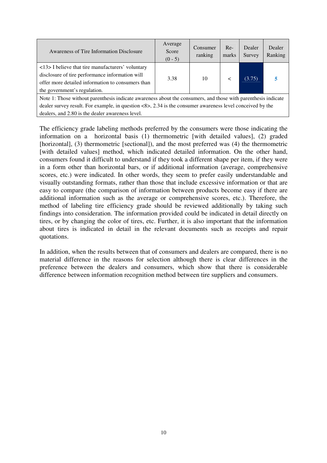| Awareness of Tire Information Disclosure                                                                                                                                                                                                                                       | Average<br>Score<br>$(0 - 5)$ | Consumer<br>ranking | $Re-$<br>marks | Dealer<br>Survey | Dealer<br>Ranking |  |  |
|--------------------------------------------------------------------------------------------------------------------------------------------------------------------------------------------------------------------------------------------------------------------------------|-------------------------------|---------------------|----------------|------------------|-------------------|--|--|
| <13> I believe that tire manufacturers' voluntary<br>disclosure of tire performance information will<br>offer more detailed information to consumers than<br>the government's regulation.                                                                                      | 3.38                          | 10                  |                | (3.75)           |                   |  |  |
| Note 1: Those without parenthesis indicate awareness about the consumers, and those with parenthesis indicate<br>dealer survey result. For example, in question <8>, 2.34 is the consumer awareness level conceived by the<br>dealers, and 2.80 is the dealer awareness level. |                               |                     |                |                  |                   |  |  |

The efficiency grade labeling methods preferred by the consumers were those indicating the information on a horizontal basis (1) thermometric [with detailed values], (2) graded [horizontal], (3) thermometric [sectional]), and the most preferred was (4) the thermometric [with detailed values] method, which indicated detailed information. On the other hand, consumers found it difficult to understand if they took a different shape per item, if they were in a form other than horizontal bars, or if additional information (average, comprehensive scores, etc.) were indicated. In other words, they seem to prefer easily understandable and visually outstanding formats, rather than those that include excessive information or that are easy to compare (the comparison of information between products become easy if there are additional information such as the average or comprehensive scores, etc.). Therefore, the method of labeling tire efficiency grade should be reviewed additionally by taking such findings into consideration. The information provided could be indicated in detail directly on tires, or by changing the color of tires, etc. Further, it is also important that the information about tires is indicated in detail in the relevant documents such as receipts and repair quotations.

In addition, when the results between that of consumers and dealers are compared, there is no material difference in the reasons for selection although there is clear differences in the preference between the dealers and consumers, which show that there is considerable difference between information recognition method between tire suppliers and consumers.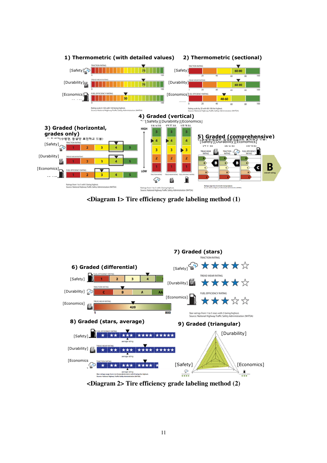

**<Diagram 1> Tire efficiency grade labeling method (1)** 



**<Diagram 2> Tire efficiency grade labeling method (2)**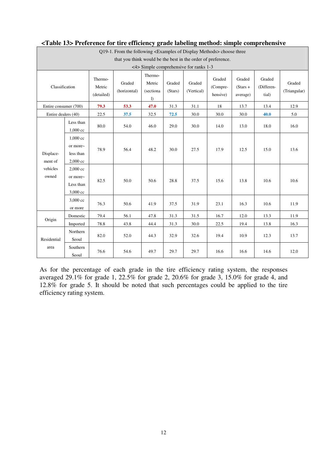|                                                              | Q19-1. From the following <examples display="" methods="" of=""> choose three</examples> |                                 |                        |                                                    |                   |                      |                                |                                  |                               |                        |  |
|--------------------------------------------------------------|------------------------------------------------------------------------------------------|---------------------------------|------------------------|----------------------------------------------------|-------------------|----------------------|--------------------------------|----------------------------------|-------------------------------|------------------------|--|
| that you think would be the best in the order of preference. |                                                                                          |                                 |                        |                                                    |                   |                      |                                |                                  |                               |                        |  |
|                                                              | $\langle 4 \rangle$ Simple comprehensive for ranks 1-3                                   |                                 |                        |                                                    |                   |                      |                                |                                  |                               |                        |  |
| Classification                                               |                                                                                          | Thermo-<br>Metric<br>(detailed) | Graded<br>(horizontal) | Thermo-<br>Metric<br>(sectiona<br>$\left( \right)$ | Graded<br>(Stars) | Graded<br>(Vertical) | Graded<br>(Compre-<br>hensive) | Graded<br>$(Stars +$<br>average) | Graded<br>(Differen-<br>tial) | Graded<br>(Triangular) |  |
| Entire consumer (700)                                        |                                                                                          | 79.3                            | 53.3                   | 47.0                                               | 31.3              | 31.1                 | 18                             | 13.7                             | 13.4                          | 12.9                   |  |
| Entire dealers (40)                                          |                                                                                          | 22.5                            | 37.5                   | 32.5                                               | 72.5              | 30.0                 | 30.0                           | 30.0                             | 40.0                          | 5.0                    |  |
|                                                              | Less than<br>1,000 cc                                                                    | 80.0                            | 54.0                   | 46.0                                               | 29.0              | 30.0                 | 14.0                           | 13.0                             | 18.0                          | 16.0                   |  |
| Displace-<br>ment of                                         | 1,000 cc<br>or more~<br>less than<br>2,000 cc                                            | 78.9                            | 56.4                   | 48.2                                               | 30.0              | 27.5                 | 17.9                           | 12.5                             | 15.0                          | 13.6                   |  |
| vehicles<br>owned                                            | 2,000 cc<br>or more~<br>Less than<br>$3{,}000\ {\rm cc}$                                 | 82.5                            | 50.0                   | 50.6                                               | 28.8              | 37.5                 | 15.6                           | 13.8                             | 10.6                          | 10.6                   |  |
|                                                              | 3,000 cc<br>or more                                                                      | 76.3                            | 50.6                   | 41.9                                               | 37.5              | 31.9                 | 23.1                           | 16.3                             | 10.6                          | 11.9                   |  |
|                                                              | Domestic                                                                                 | 79.4                            | 56.1                   | 47.8                                               | 31.3              | 31.5                 | 16.7                           | 12.0                             | 13.3                          | 11.9                   |  |
| Origin                                                       | Imported                                                                                 | 78.8                            | 43.8                   | 44.4                                               | 31.3              | 30.0                 | 22.5                           | 19.4                             | 13.8                          | 16.3                   |  |
| Residential                                                  | Northern<br>Seoul                                                                        | 82.0                            | 52.0                   | 44.3                                               | 32.9              | 32.6                 | 19.4                           | 10.9                             | 12.3                          | 13.7                   |  |
| area                                                         | Southern<br>Seoul                                                                        | 76.6                            | 54.6                   | 49.7                                               | 29.7              | 29.7                 | 16.6                           | 16.6                             | 14.6                          | 12.0                   |  |

# **<Table 13> Preference for tire efficiency grade labeling method: simple comprehensive**

As for the percentage of each grade in the tire efficiency rating system, the responses averaged 29.1% for grade 1, 22.5% for grade 2, 20.6% for grade 3, 15.0% for grade 4, and 12.8% for grade 5. It should be noted that such percentages could be applied to the tire efficiency rating system.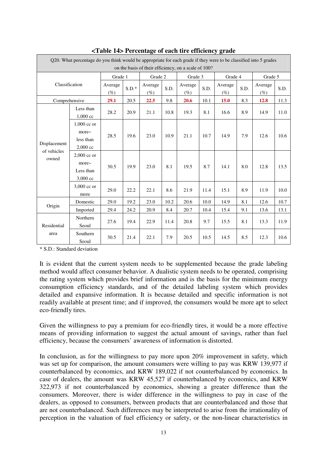|                                      | O20. What percentage do you think would be appropriate for each grade if they were to be classified into 5 grades<br>on the basis of their efficiency, on a scale of 100? |                   |         |                   |      |                   |      |                   |      |                   |      |
|--------------------------------------|---------------------------------------------------------------------------------------------------------------------------------------------------------------------------|-------------------|---------|-------------------|------|-------------------|------|-------------------|------|-------------------|------|
|                                      |                                                                                                                                                                           | Grade 1           |         | Grade 2           |      | Grade 3           |      | Grade 4           |      | Grade 5           |      |
| Classification                       |                                                                                                                                                                           | Average<br>$(\%)$ | $S.D.*$ | Average<br>$(\%)$ | S.D. | Average<br>$(\%)$ | S.D. | Average<br>$(\%)$ | S.D. | Average<br>$(\%)$ | S.D. |
| Comprehensive                        |                                                                                                                                                                           | 29.1              | 20.5    | 22.5              | 9.8  | 20.6              | 10.1 | 15.0              | 8.3  | 12.8              | 11.3 |
|                                      | Less than<br>$1,000$ cc                                                                                                                                                   | 28.2              | 20.9    | 21.1              | 10.8 | 19.3              | 8.1  | 16.6              | 8.9  | 14.9              | 11.0 |
| Displacement<br>of vehicles<br>owned | $1,000$ cc or<br>more~<br>less than<br>$2,000$ cc                                                                                                                         | 28.5              | 19.6    | 23.0              | 10.9 | 21.1              | 10.7 | 14.9              | 7.9  | 12.6              | 10.6 |
|                                      | $2,000$ cc or<br>$more-$<br>Less than<br>3,000 cc                                                                                                                         | 30.5              | 19.9    | 23.0              | 8.1  | 19.5              | 8.7  | 14.1              | 8.0  | 12.8              | 13.5 |
|                                      | 3,000 cc or<br>more                                                                                                                                                       | 29.0              | 22.2    | 22.1              | 8.6  | 21.9              | 11.4 | 15.1              | 8.9  | 11.9              | 10.0 |
|                                      | Domestic                                                                                                                                                                  | 29.0              | 19.2    | 23.0              | 10.2 | 20.6              | 10.0 | 14.9              | 8.1  | 12.6              | 10.7 |
| Origin                               | Imported                                                                                                                                                                  | 29.4              | 24.2    | 20.9              | 8.4  | 20.7              | 10.4 | 15.4              | 9.1  | 13.6              | 13.1 |
| Residential                          | Northern<br>Seoul                                                                                                                                                         | 27.6              | 19.4    | 22.9              | 11.4 | 20.8              | 9.7  | 15.5              | 8.1  | 13.3              | 11.9 |
| area                                 | Southern<br>Seoul                                                                                                                                                         | 30.5              | 21.4    | 22.1              | 7.9  | 20.5              | 10.5 | 14.5              | 8.5  | 12.3              | 10.6 |

**<Table 14> Percentage of each tire efficiency grade**

\* S.D.: Standard deviation

It is evident that the current system needs to be supplemented because the grade labeling method would affect consumer behavior. A dualistic system needs to be operated, comprising the rating system which provides brief information and is the basis for the minimum energy consumption efficiency standards, and of the detailed labeling system which provides detailed and expansive information. It is because detailed and specific information is not readily available at present time; and if improved, the consumers would be more apt to select eco-friendly tires.

Given the willingness to pay a premium for eco-friendly tires, it would be a more effective means of providing information to suggest the actual amount of savings, rather than fuel efficiency, because the consumers' awareness of information is distorted.

In conclusion, as for the willingness to pay more upon 20% improvement in safety, which was set up for comparison, the amount consumers were willing to pay was KRW 139,977 if counterbalanced by economics, and KRW 189,022 if not counterbalanced by economics. In case of dealers, the amount was KRW 45,527 if counterbalanced by economics, and KRW 322,973 if not counterbalanced by economics, showing a greater difference than the consumers. Moreover, there is wider difference in the willingness to pay in case of the dealers, as opposed to consumers, between products that are counterbalanced and those that are not counterbalanced. Such differences may be interpreted to arise from the irrationality of perception in the valuation of fuel efficiency or safety, or the non-linear characteristics in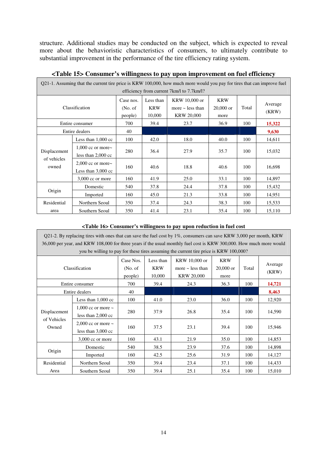structure. Additional studies may be conducted on the subject, which is expected to reveal more about the behavioristic characteristics of consumers, to ultimately contribute to substantial improvement in the performance of the tire efficiency rating system.

| Q21-1. Assuming that the current tire price is KRW 100,000, how much more would you pay for tires that can improve fuel |                                                 |                                  |                                   |                                                             |                                   |       |                  |
|-------------------------------------------------------------------------------------------------------------------------|-------------------------------------------------|----------------------------------|-----------------------------------|-------------------------------------------------------------|-----------------------------------|-------|------------------|
|                                                                                                                         |                                                 |                                  |                                   | efficiency from current 7km/l to 7.7km/l?                   |                                   |       |                  |
| Classification                                                                                                          |                                                 | Case nos.<br>(No. of)<br>people) | Less than<br><b>KRW</b><br>10,000 | KRW 10,000 or<br>more $\sim$ less than<br><b>KRW 20,000</b> | <b>KRW</b><br>$20,000$ or<br>more | Total | Average<br>(KRW) |
|                                                                                                                         | Entire consumer                                 | 700                              | 39.4                              | 23.7                                                        | 36.9                              | 100   | 15,322           |
|                                                                                                                         | Entire dealers                                  | 40                               |                                   |                                                             |                                   |       | 9,630            |
|                                                                                                                         | Less than $1,000$ cc                            | 100                              | 42.0                              | 18.0                                                        | 40.0                              | 100   | 14,611           |
| Displacement                                                                                                            | 1,000 cc or more $\sim$<br>less than $2,000$ cc | 280                              | 36.4                              | 27.9                                                        | 35.7                              | 100   | 15,032           |
| of vehicles<br>owned                                                                                                    | 2,000 cc or more $\sim$<br>Less than $3,000$ cc | 160                              | 40.6                              | 18.8                                                        | 40.6                              | 100   | 16,698           |
|                                                                                                                         | $3,000$ cc or more                              | 160                              | 41.9                              | 25.0                                                        | 33.1                              | 100   | 14,897           |
|                                                                                                                         | Domestic                                        | 540                              | 37.8                              | 24.4                                                        | 37.8                              | 100   | 15,432           |
| Origin                                                                                                                  | Imported                                        | 160                              | 45.0                              | 21.3                                                        | 33.8                              | 100   | 14,951           |
| Residential                                                                                                             | Northern Seoul                                  | 350                              | 37.4                              | 24.3                                                        | 38.3                              | 100   | 15,533           |
| area                                                                                                                    | Southern Seoul                                  | 350                              | 41.4                              | 23.1                                                        | 35.4                              | 100   | 15,110           |

# **<Table 15> Consumer's willingness to pay upon improvement on fuel efficiency**

٦

T

#### **<Table 16> Consumer's willingness to pay upon reduction in fuel cost**

| Q21-2. By replacing tires with ones that can save the fuel cost by $1\%$ , consumers can save KRW 3,000 per month, KRW<br>36,000 per year, and KRW 108,000 for three years if the usual monthly fuel cost is KRW 300,000. How much more would<br>you be willing to pay for these tires assuming the current tire price is KRW 100,000? |                                                 |                                  |                                   |                                                             |                                   |       |                  |
|----------------------------------------------------------------------------------------------------------------------------------------------------------------------------------------------------------------------------------------------------------------------------------------------------------------------------------------|-------------------------------------------------|----------------------------------|-----------------------------------|-------------------------------------------------------------|-----------------------------------|-------|------------------|
|                                                                                                                                                                                                                                                                                                                                        | Classification                                  | Case Nos.<br>(No. of)<br>people) | Less than<br><b>KRW</b><br>10,000 | KRW 10,000 or<br>more $\sim$ less than<br><b>KRW 20,000</b> | <b>KRW</b><br>$20,000$ or<br>more | Total | Average<br>(KRW) |
|                                                                                                                                                                                                                                                                                                                                        | Entire consumer                                 | 700                              | 39.4                              | 24.3                                                        | 36.3                              | 100   | 14,721           |
| Entire dealers<br>40                                                                                                                                                                                                                                                                                                                   |                                                 |                                  |                                   |                                                             | 8,463                             |       |                  |
|                                                                                                                                                                                                                                                                                                                                        | Less than $1,000$ cc                            | 100                              | 41.0                              | 23.0                                                        | 36.0                              | 100   | 12,920           |
| Displacement                                                                                                                                                                                                                                                                                                                           | 1,000 cc or more $\sim$<br>less than $2,000$ cc | 280                              | 37.9                              | 26.8                                                        | 35.4                              | 100   | 14,590           |
| of Vehicles<br>Owned                                                                                                                                                                                                                                                                                                                   | 2,000 cc or more $\sim$<br>less than $3,000$ cc | 160                              | 37.5                              | 23.1                                                        | 39.4                              | 100   | 15,946           |
|                                                                                                                                                                                                                                                                                                                                        | $3,000$ cc or more                              | 160                              | 43.1                              | 21.9                                                        | 35.0                              | 100   | 14,853           |
|                                                                                                                                                                                                                                                                                                                                        | Domestic                                        | 540                              | 38.5                              | 23.9                                                        | 37.6                              | 100   | 14,898           |
| Origin                                                                                                                                                                                                                                                                                                                                 | Imported                                        | 160                              | 42.5                              | 25.6                                                        | 31.9                              | 100   | 14,127           |
| Residential                                                                                                                                                                                                                                                                                                                            | Northern Seoul                                  | 350                              | 39.4                              | 23.4                                                        | 37.1                              | 100   | 14,433           |
| Area                                                                                                                                                                                                                                                                                                                                   | Southern Seoul                                  | 350                              | 39.4                              | 25.1                                                        | 35.4                              | 100   | 15,010           |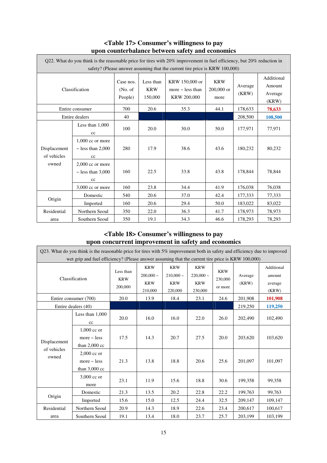|                             | Q22. What do you think is the reasonable price for tires with 20% improvement in fuel efficiency, but 20% reduction in<br>safety? (Please answer assuming that the current tire price is KRW 100,000) |                                  |                                    |                                                        |                                    |                  |                                          |  |
|-----------------------------|-------------------------------------------------------------------------------------------------------------------------------------------------------------------------------------------------------|----------------------------------|------------------------------------|--------------------------------------------------------|------------------------------------|------------------|------------------------------------------|--|
| Classification              |                                                                                                                                                                                                       | Case nos.<br>(No. of)<br>People) | Less than<br><b>KRW</b><br>150,000 | KRW 150,000 or<br>more $\sim$ less than<br>KRW 200,000 | <b>KRW</b><br>$200,000$ or<br>more | Average<br>(KRW) | Additional<br>Amount<br>Average<br>(KRW) |  |
|                             | Entire consumer                                                                                                                                                                                       | 700                              | 20.6                               | 35.3                                                   | 44.1                               | 178,633          | 78,633                                   |  |
|                             | Entire dealers                                                                                                                                                                                        | 40                               |                                    |                                                        |                                    | 208,500          | 108,500                                  |  |
|                             | Less than 1,000<br>cc                                                                                                                                                                                 | 100                              | 20.0                               | 30.0                                                   | 50.0                               | 177,971          | 77,971                                   |  |
| Displacement<br>of vehicles | $1.000$ cc or more<br>$\sim$ less than 2,000<br>cc                                                                                                                                                    | 280                              | 17.9                               | 38.6                                                   | 43.6                               | 180,232          | 80,232                                   |  |
| owned                       | $2,000$ cc or more<br>$\sim$ less than 3,000<br>cc                                                                                                                                                    | 160                              | 22.5                               | 33.8                                                   | 43.8                               | 178,844          | 78,844                                   |  |
|                             | $3,000$ cc or more                                                                                                                                                                                    | 160                              | 23.8                               | 34.4                                                   | 41.9                               | 176,038          | 76,038                                   |  |
|                             | Domestic                                                                                                                                                                                              | 540                              | 20.6                               | 37.0                                                   | 42.4                               | 177,333          | 77,333                                   |  |
| Origin                      | Imported                                                                                                                                                                                              | 160                              | 20.6                               | 29.4                                                   | 50.0                               | 183,022          | 83,022                                   |  |
| Residential                 | Northern Seoul                                                                                                                                                                                        | 350                              | 22.0                               | 36.3                                                   | 41.7                               | 178,973          | 78,973                                   |  |
| area                        | Southern Seoul                                                                                                                                                                                        | 350                              | 19.1                               | 34.3                                                   | 46.6                               | 178,293          | 78,293                                   |  |

## **<Table 17> Consumer's willingness to pay upon counterbalance between safety and economics**

# **<Table 18> Consumer's willingness to pay upon concurrent improvement in safety and economics**

| O23. What do you think is the reasonable price for tires with $5\%$ improvement both in safety and efficiency due to improved<br>wet grip and fuel efficiency? (Please answer assuming that the current tire price is KRW 100,000) |                                                              |                                    |                                                       |                                                    |                                                    |                                  |                  |                                          |  |
|------------------------------------------------------------------------------------------------------------------------------------------------------------------------------------------------------------------------------------|--------------------------------------------------------------|------------------------------------|-------------------------------------------------------|----------------------------------------------------|----------------------------------------------------|----------------------------------|------------------|------------------------------------------|--|
| Classification                                                                                                                                                                                                                     |                                                              | Less than<br><b>KRW</b><br>200,000 | <b>KRW</b><br>$200,000 \sim$<br><b>KRW</b><br>210,000 | <b>KRW</b><br>$210,000 -$<br><b>KRW</b><br>220,000 | <b>KRW</b><br>$220,000 -$<br><b>KRW</b><br>230,000 | <b>KRW</b><br>230,000<br>or more | Average<br>(KRW) | Additional<br>amount<br>average<br>(KRW) |  |
|                                                                                                                                                                                                                                    | Entire consumer (700)                                        | 20.0                               | 13.9                                                  | 18.4                                               | 23.1                                               | 24.6                             | 201,908          | 101,908                                  |  |
|                                                                                                                                                                                                                                    | Entire dealers (40)                                          |                                    |                                                       |                                                    |                                                    |                                  | 219,250          | 119,250                                  |  |
|                                                                                                                                                                                                                                    | Less than $1,000$<br>cc                                      | 20.0                               | 16.0                                                  | 16.0                                               | 22.0                                               | 26.0                             | 202,490          | 102,490                                  |  |
| Displacement                                                                                                                                                                                                                       | 1,000 cc or<br>more $\sim$ less<br>than $2,000$ cc           | 17.5                               | 14.3                                                  | 20.7                                               | 27.5                                               | 20.0                             | 203,620          | 103,620                                  |  |
| of vehicles<br>owned                                                                                                                                                                                                               | $2.000 \text{ cc}$ or<br>more $\sim$ less<br>than $3,000$ cc | 21.3                               | 13.8                                                  | 18.8                                               | 20.6                                               | 25.6                             | 201,097          | 101,097                                  |  |
|                                                                                                                                                                                                                                    | 3,000 cc or<br>more                                          | 23.1                               | 11.9                                                  | 15.6                                               | 18.8                                               | 30.6                             | 199,358          | 99,358                                   |  |
|                                                                                                                                                                                                                                    | Domestic                                                     | 21.3                               | 13.5                                                  | 20.2                                               | 22.8                                               | 22.2                             | 199,763          | 99,763                                   |  |
| Origin                                                                                                                                                                                                                             | Imported                                                     | 15.6                               | 15.0                                                  | 12.5                                               | 24.4                                               | 32.5                             | 209,147          | 109,147                                  |  |
| Residential                                                                                                                                                                                                                        | Northern Seoul                                               | 20.9                               | 14.3                                                  | 18.9                                               | 22.6                                               | 23.4                             | 200,617          | 100,617                                  |  |
| area                                                                                                                                                                                                                               | Southern Seoul                                               | 19.1                               | 13.4                                                  | 18.0                                               | 23.7                                               | 25.7                             | 203,199          | 103,199                                  |  |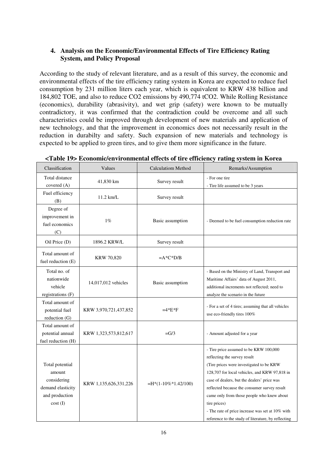# **4. Analysis on the Economic/Environmental Effects of Tire Efficiency Rating System, and Policy Proposal**

According to the study of relevant literature, and as a result of this survey, the economic and environmental effects of the tire efficiency rating system in Korea are expected to reduce fuel consumption by 231 million liters each year, which is equivalent to KRW 438 billion and 184,802 TOE, and also to reduce CO2 emissions by 490,774 tCO2. While Rolling Resistance (economics), durability (abrasivity), and wet grip (safety) were known to be mutually contradictory, it was confirmed that the contradiction could be overcome and all such characteristics could be improved through development of new materials and application of new technology, and that the improvement in economics does not necessarily result in the reduction in durabilty and safety. Such expansion of new materials and technology is expected to be applied to green tires, and to give them more significance in the future.

| Classification                                                                             | Values                | <b>Calculatiom Method</b> | Remarks/Assumption                                                                                                                                                                                                                                                                                                                                                                                                                          |
|--------------------------------------------------------------------------------------------|-----------------------|---------------------------|---------------------------------------------------------------------------------------------------------------------------------------------------------------------------------------------------------------------------------------------------------------------------------------------------------------------------------------------------------------------------------------------------------------------------------------------|
| Total distance<br>covered (A)                                                              | 41,830 km             | Survey result             | - For one tire<br>- Tire life assumed to be 3 years                                                                                                                                                                                                                                                                                                                                                                                         |
| Fuel efficiency<br>(B)                                                                     | 11.2 km/L             | Survey result             |                                                                                                                                                                                                                                                                                                                                                                                                                                             |
| Degree of<br>improvement in<br>fuel economics<br>(C)                                       | $1\%$                 | Basic assumption          | - Deemed to be fuel consumption reduction rate                                                                                                                                                                                                                                                                                                                                                                                              |
| Oil Price (D)                                                                              | 1896.2 KRW/L          | Survey result             |                                                                                                                                                                                                                                                                                                                                                                                                                                             |
| Total amount of<br>fuel reduction (E)                                                      | <b>KRW 70,820</b>     | $=A*C*D/B$                |                                                                                                                                                                                                                                                                                                                                                                                                                                             |
| Total no. of<br>nationwide<br>vehicle<br>registrations (F)                                 | 14,017,012 vehicles   | Basic assumption          | - Based on the Ministry of Land, Transport and<br>Maritime Affairs' data of August 2011,<br>additional increments not reflected; need to<br>analyze the scenario in the future                                                                                                                                                                                                                                                              |
| Total amount of<br>potential fuel<br>reduction (G)                                         | KRW 3,970,721,437,852 | $=4*E*F$                  | - For a set of 4 tires; assuming that all vehicles<br>use eco-friendly tires 100%                                                                                                                                                                                                                                                                                                                                                           |
| Total amount of<br>potential annual<br>fuel reduction (H)                                  | KRW 1,323,573,812,617 | $=\frac{G}{3}$            | - Amount adjusted for a year                                                                                                                                                                                                                                                                                                                                                                                                                |
| Total potential<br>amount<br>considering<br>demand elasticity<br>and production<br>cost(I) | KRW 1,135,626,331,226 | $=$ H*(1-10%*1.42/100)    | - Tire price assumed to be KRW 100,000<br>reflecting the survey result<br>(Tire prices were investigated to be KRW<br>128,707 for local vehicles, and KRW 97,818 in<br>case of dealers, but the dealers' price was<br>reflected because the consumer survey result<br>came only from those people who knew about<br>tire prices)<br>- The rate of price increase was set at 10% with<br>reference to the study of literature, by reflecting |

**<Table 19> Economic/environmental effects of tire efficiency rating system in Korea**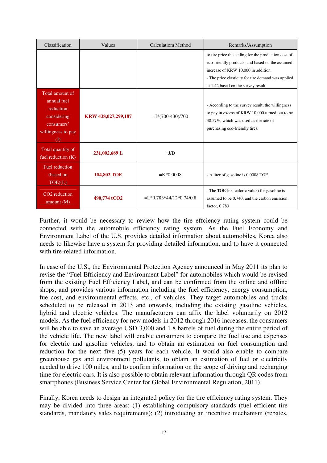| Classification                                                                                                               | Values              | <b>Calculatiom Method</b>  | Remarks/Assumption                                                                                                                                                                                                                          |
|------------------------------------------------------------------------------------------------------------------------------|---------------------|----------------------------|---------------------------------------------------------------------------------------------------------------------------------------------------------------------------------------------------------------------------------------------|
|                                                                                                                              |                     |                            | to tire price the ceiling for the production cost of<br>eco-friendly products, and based on the assumed<br>increase of KRW 10,000 in addition.<br>- The price elasticity for tire demand was applied<br>at 1.42 based on the survey result. |
| Total amount of<br>annual fuel<br>reduction<br>considering<br>consumers'<br>willingness to pay<br>$\left( \mathrm{J}\right)$ | KRW 438,027,299,187 | $=$ I*(700-430)/700        | - According to the survey result, the willingness<br>to pay in excess of KRW 10,000 turned out to be<br>38.57%, which was used as the rate of<br>purchasing eco-friendly tires.                                                             |
| Total quantity of<br>fuel reduction $(K)$                                                                                    | 231,002,689 L       | $=J/D$                     |                                                                                                                                                                                                                                             |
| Fuel reduction<br>(based on<br>TOE)(L)                                                                                       | <b>184,802 TOE</b>  | $=$ K*0.0008               | - A liter of gasoline is 0.0008 TOE.                                                                                                                                                                                                        |
| CO <sub>2</sub> reduction<br>amount $(M)$                                                                                    | 490,774 tCO2        | $= L*0.783*44/12*0.74/0.8$ | - The TOE (net caloric value) for gasoline is<br>assumed to be 0.740, and the carbon emission<br>factor, $0.783$                                                                                                                            |

Further, it would be necessary to review how the tire effciency rating system could be connected with the automobile efficiency rating system. As the Fuel Economy and Environment Label of the U.S. provides detailed information about automobiles, Korea also needs to likewise have a system for providing detailed information, and to have it connected with tire-related information.

In case of the U.S., the Environmental Protection Agency announced in May 2011 its plan to revise the "Fuel Efficiency and Environment Label" for automobiles which would be revised from the existing Fuel Efficiency Label, and can be confirmed from the online and offline shops, and provides various information including the fuel efficiency, energy consumption, fue cost, and environmental effects, etc., of vehicles. They target automobiles and trucks scheduled to be released in 2013 and onwards, including the existing gasoline vehicles, hybrid and electric vehicles. The manufacturers can affix the label voluntarily on 2012 models. As the fuel efficiency for new models in 2012 through 2016 increases, the consumers will be able to save an average USD 3,000 and 1.8 barrels of fuel during the entire period of the vehicle life. The new label will enable consumers to compare the fuel use and expenses for electric and gasoline vehicles, and to obtain an estimation on fuel consumption and reduction for the next five (5) years for each vehicle. It would also enable to compare greenhouse gas and environment pollutants, to obtain an estimation of fuel or electricity needed to drive 100 miles, and to confirm information on the scope of driving and recharging time for electric cars. It is also possible to obtain relevant information through QR codes from smartphones (Business Service Center for Global Environmental Regulation, 2011).

Finally, Korea needs to design an integrated policy for the tire efficiency rating system. They may be divided into three areas: (1) establishing compulsory standards (fuel efficient tire standards, mandatory sales requirements); (2) introducing an incentive mechanism (rebates,